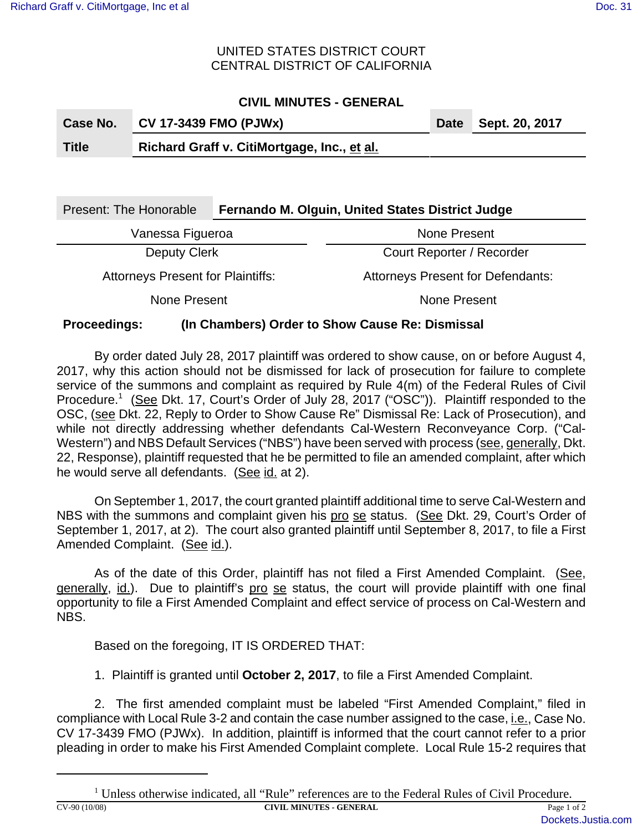### UNITED STATES DISTRICT COURT CENTRAL DISTRICT OF CALIFORNIA

# **CIVIL MINUTES - GENERAL**

| Case No.     | <b>CV 17-3439 FMO (PJWx)</b>                | Date Sept. 20, 2017 |
|--------------|---------------------------------------------|---------------------|
| <b>Title</b> | Richard Graff v. CitiMortgage, Inc., et al. |                     |
|              |                                             |                     |

| <b>Present: The Honorable</b>            | Fernando M. Olguin, United States District Judge |                                          |  |  |  |
|------------------------------------------|--------------------------------------------------|------------------------------------------|--|--|--|
| Vanessa Figueroa                         |                                                  | None Present                             |  |  |  |
| Deputy Clerk                             |                                                  | Court Reporter / Recorder                |  |  |  |
| <b>Attorneys Present for Plaintiffs:</b> |                                                  | <b>Attorneys Present for Defendants:</b> |  |  |  |
| None Present                             |                                                  | None Present                             |  |  |  |
|                                          |                                                  |                                          |  |  |  |

# **Proceedings: (In Chambers) Order to Show Cause Re: Dismissal**

By order dated July 28, 2017 plaintiff was ordered to show cause, on or before August 4, 2017, why this action should not be dismissed for lack of prosecution for failure to complete service of the summons and complaint as required by Rule 4(m) of the Federal Rules of Civil Procedure.<sup>1</sup> (See Dkt. 17, Court's Order of July 28, 2017 ("OSC")). Plaintiff responded to the OSC, (see Dkt. 22, Reply to Order to Show Cause Re" Dismissal Re: Lack of Prosecution), and while not directly addressing whether defendants Cal-Western Reconveyance Corp. ("Cal-Western") and NBS Default Services ("NBS") have been served with process (see, generally, Dkt. 22, Response), plaintiff requested that he be permitted to file an amended complaint, after which he would serve all defendants. (See id. at 2).

On September 1, 2017, the court granted plaintiff additional time to serve Cal-Western and NBS with the summons and complaint given his pro se status. (See Dkt. 29, Court's Order of September 1, 2017, at 2). The court also granted plaintiff until September 8, 2017, to file a First Amended Complaint. (See id.).

As of the date of this Order, plaintiff has not filed a First Amended Complaint. (See, generally, id.). Due to plaintiff's pro se status, the court will provide plaintiff with one final opportunity to file a First Amended Complaint and effect service of process on Cal-Western and NBS.

Based on the foregoing, IT IS ORDERED THAT:

1. Plaintiff is granted until **October 2, 2017**, to file a First Amended Complaint.

2. The first amended complaint must be labeled "First Amended Complaint," filed in compliance with Local Rule 3-2 and contain the case number assigned to the case, i.e., Case No. CV 17-3439 FMO (PJWx). In addition, plaintiff is informed that the court cannot refer to a prior pleading in order to make his First Amended Complaint complete. Local Rule 15-2 requires that

<sup>&</sup>lt;sup>1</sup> Unless otherwise indicated, all "Rule" references are to the Federal Rules of Civil Procedure. **CIVIL MINUTES - GENERAL Page 1 of 2**